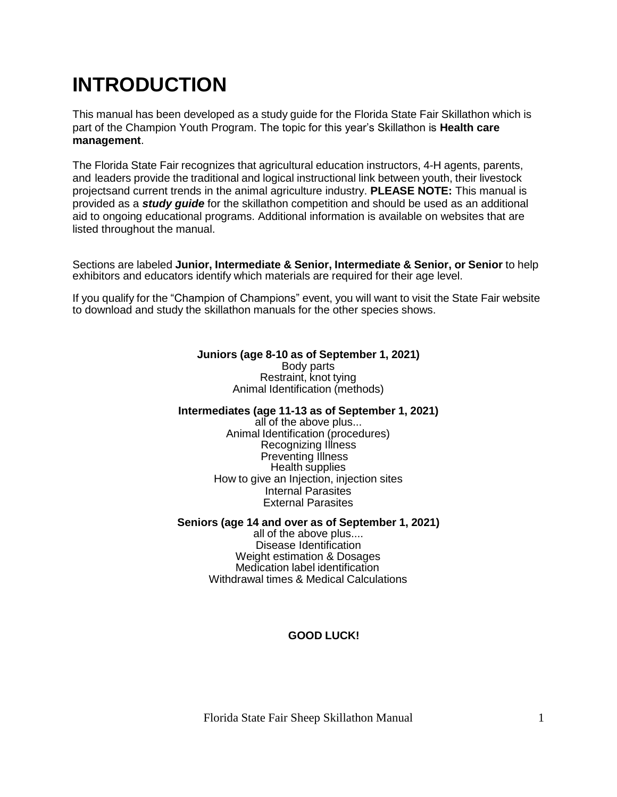# **INTRODUCTION**

This manual has been developed as a study guide for the Florida State Fair Skillathon which is part of the Champion Youth Program. The topic for this year's Skillathon is **Health care management**.

The Florida State Fair recognizes that agricultural education instructors, 4-H agents, parents, and leaders provide the traditional and logical instructional link between youth, their livestock projectsand current trends in the animal agriculture industry. **PLEASE NOTE:** This manual is provided as a *study guide* for the skillathon competition and should be used as an additional aid to ongoing educational programs. Additional information is available on websites that are listed throughout the manual.

Sections are labeled **Junior, Intermediate & Senior, Intermediate & Senior, or Senior** to help exhibitors and educators identify which materials are required for their age level.

If you qualify for the "Champion of Champions" event, you will want to visit the State Fair website to download and study the skillathon manuals for the other species shows.

#### **Juniors (age 8-10 as of September 1, 2021)**

Body parts Restraint, knot tying Animal Identification (methods)

#### **Intermediates (age 11-13 as of September 1, 2021)**

all of the above plus... Animal Identification (procedures) Recognizing Illness Preventing Illness Health supplies How to give an Injection, injection sites Internal Parasites External Parasites

#### **Seniors (age 14 and over as of September 1, 2021)**

all of the above plus.... Disease Identification Weight estimation & Dosages Medication label identification Withdrawal times & Medical Calculations

#### **GOOD LUCK!**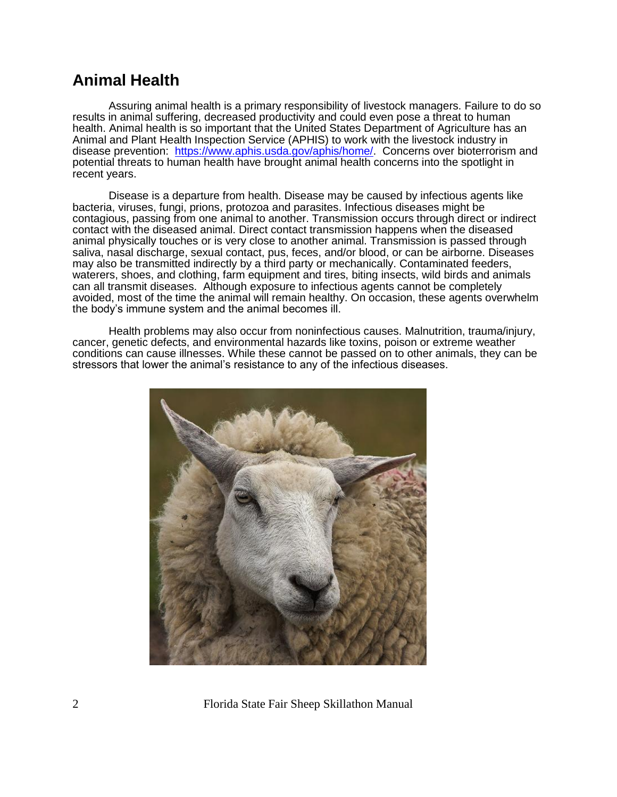### **Animal Health**

Assuring animal health is a primary responsibility of livestock managers. Failure to do so results in animal suffering, decreased productivity and could even pose a threat to human health. Animal health is so important that the United States Department of Agriculture has an Animal and Plant Health Inspection Service (APHIS) to work with the livestock industry in disease prevention: [https://www.aphis.usda.gov/aphis/home/.](https://www.aphis.usda.gov/aphis/home/) Concerns over bioterrorism and potential threats to human health have brought animal health concerns into the spotlight in recent years.

Disease is a departure from health. Disease may be caused by infectious agents like bacteria, viruses, fungi, prions, protozoa and parasites. Infectious diseases might be contagious, passing from one animal to another. Transmission occurs through direct or indirect contact with the diseased animal. Direct contact transmission happens when the diseased animal physically touches or is very close to another animal. Transmission is passed through saliva, nasal discharge, sexual contact, pus, feces, and/or blood, or can be airborne. Diseases may also be transmitted indirectly by a third party or mechanically. Contaminated feeders, waterers, shoes, and clothing, farm equipment and tires, biting insects, wild birds and animals can all transmit diseases. Although exposure to infectious agents cannot be completely avoided, most of the time the animal will remain healthy. On occasion, these agents overwhelm the body's immune system and the animal becomes ill.

Health problems may also occur from noninfectious causes. Malnutrition, trauma/injury, cancer, genetic defects, and environmental hazards like toxins, poison or extreme weather conditions can cause illnesses. While these cannot be passed on to other animals, they can be stressors that lower the animal's resistance to any of the infectious diseases.

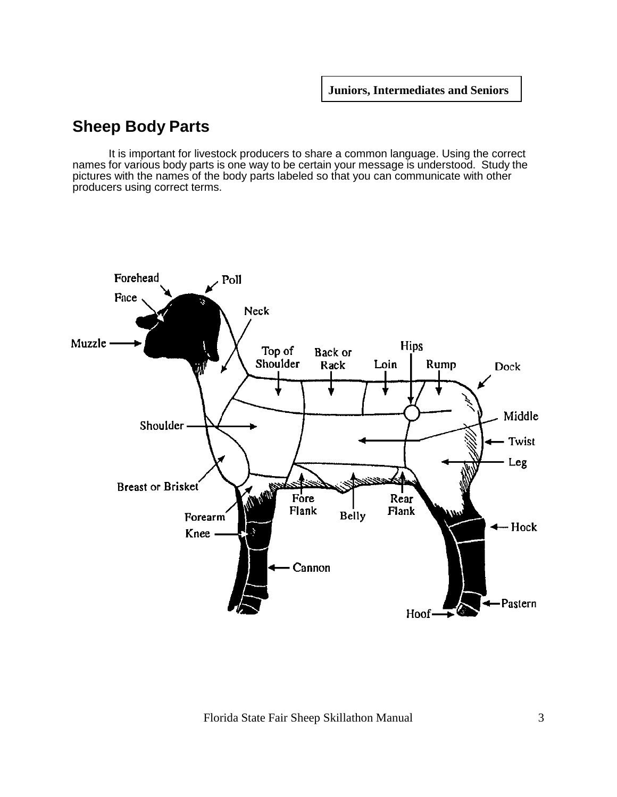# **Sheep Body Parts**

It is important for livestock producers to share a common language. Using the correct names for various body parts is one way to be certain your message is understood. Study the pictures with the names of the body parts labeled so that you can communicate with other producers using correct terms.

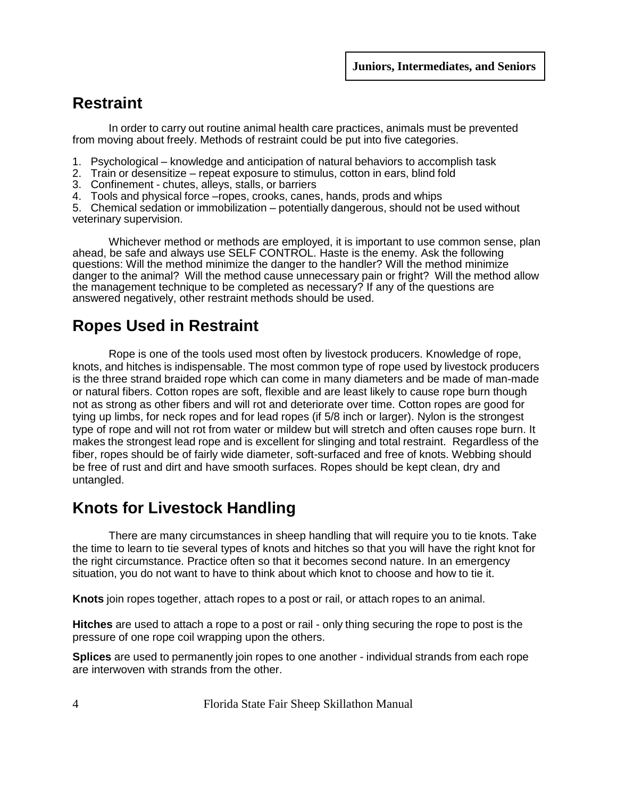# **Restraint**

In order to carry out routine animal health care practices, animals must be prevented from moving about freely. Methods of restraint could be put into five categories.

- 1. Psychological knowledge and anticipation of natural behaviors to accomplish task
- 2. Train or desensitize repeat exposure to stimulus, cotton in ears, blind fold
- 3. Confinement chutes, alleys, stalls, or barriers
- 4. Tools and physical force –ropes, crooks, canes, hands, prods and whips

5. Chemical sedation or immobilization – potentially dangerous, should not be used without veterinary supervision.

Whichever method or methods are employed, it is important to use common sense, plan ahead, be safe and always use SELF CONTROL. Haste is the enemy. Ask the following questions: Will the method minimize the danger to the handler? Will the method minimize danger to the animal? Will the method cause unnecessary pain or fright? Will the method allow the management technique to be completed as necessary? If any of the questions are answered negatively, other restraint methods should be used.

# **Ropes Used in Restraint**

Rope is one of the tools used most often by livestock producers. Knowledge of rope, knots, and hitches is indispensable. The most common type of rope used by livestock producers is the three strand braided rope which can come in many diameters and be made of man-made or natural fibers. Cotton ropes are soft, flexible and are least likely to cause rope burn though not as strong as other fibers and will rot and deteriorate over time. Cotton ropes are good for tying up limbs, for neck ropes and for lead ropes (if 5/8 inch or larger). Nylon is the strongest type of rope and will not rot from water or mildew but will stretch and often causes rope burn. It makes the strongest lead rope and is excellent for slinging and total restraint. Regardless of the fiber, ropes should be of fairly wide diameter, soft-surfaced and free of knots. Webbing should be free of rust and dirt and have smooth surfaces. Ropes should be kept clean, dry and untangled.

### **Knots for Livestock Handling**

There are many circumstances in sheep handling that will require you to tie knots. Take the time to learn to tie several types of knots and hitches so that you will have the right knot for the right circumstance. Practice often so that it becomes second nature. In an emergency situation, you do not want to have to think about which knot to choose and how to tie it.

**Knots** join ropes together, attach ropes to a post or rail, or attach ropes to an animal.

**Hitches** are used to attach a rope to a post or rail - only thing securing the rope to post is the pressure of one rope coil wrapping upon the others.

**Splices** are used to permanently join ropes to one another - individual strands from each rope are interwoven with strands from the other.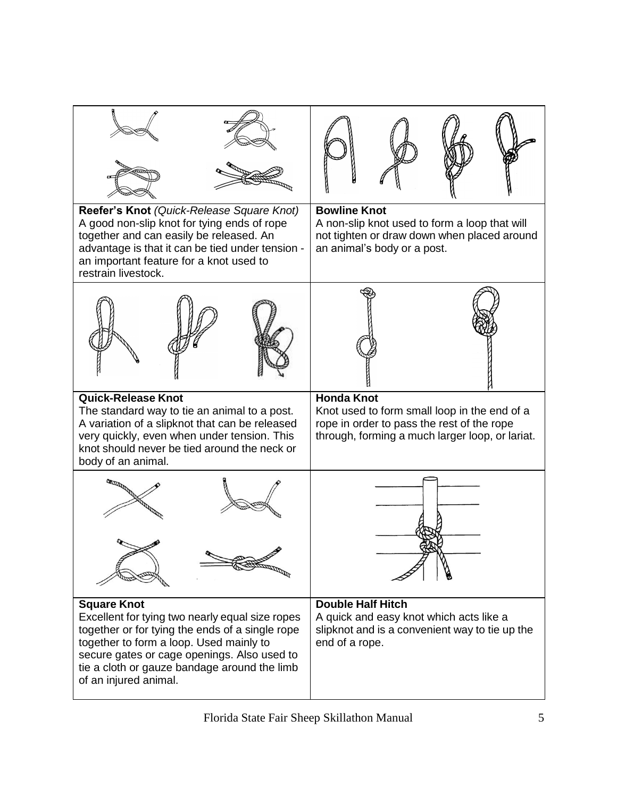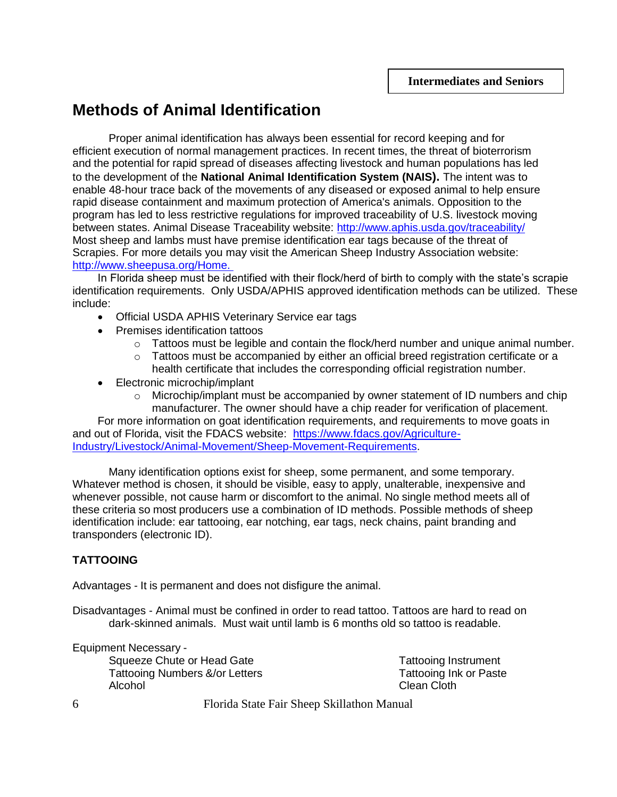### **Methods of Animal Identification**

Proper animal identification has always been essential for record keeping and for efficient execution of normal management practices. In recent times, the threat of bioterrorism and the potential for rapid spread of diseases affecting livestock and human populations has led to the development of the **National Animal Identification System (NAIS).** The intent was to enable 48-hour trace back of the movements of any diseased or exposed animal to help ensure rapid disease containment and maximum protection of America's animals. Opposition to the program has led to less restrictive regulations for improved traceability of U.S. livestock moving between states. Animal Disease Traceability website:<http://www.aphis.usda.gov/traceability/> Most sheep and lambs must have premise identification ear tags because of the threat of Scrapies. For more details you may visit the American Sheep Industry Association website: [http://www.sheepusa.org/Home.](http://www.sheepusa.org/Home)

In Florida sheep must be identified with their flock/herd of birth to comply with the state's scrapie identification requirements. Only USDA/APHIS approved identification methods can be utilized. These include:

- Official USDA APHIS Veterinary Service ear tags
- Premises identification tattoos
	- o Tattoos must be legible and contain the flock/herd number and unique animal number.
	- $\circ$  Tattoos must be accompanied by either an official breed registration certificate or a health certificate that includes the corresponding official registration number.
- Electronic microchip/implant
	- o Microchip/implant must be accompanied by owner statement of ID numbers and chip manufacturer. The owner should have a chip reader for verification of placement.

For more information on goat identification requirements, and requirements to move goats in and out of Florida, visit the FDACS website: [https://www.fdacs.gov/Agriculture-](https://www.fdacs.gov/Agriculture-Industry/Livestock/Animal-Movement/Sheep-Movement-Requirements)[Industry/Livestock/Animal-Movement/Sheep-Movement-Requirements.](https://www.fdacs.gov/Agriculture-Industry/Livestock/Animal-Movement/Sheep-Movement-Requirements)

Many identification options exist for sheep, some permanent, and some temporary. Whatever method is chosen, it should be visible, easy to apply, unalterable, inexpensive and whenever possible, not cause harm or discomfort to the animal. No single method meets all of these criteria so most producers use a combination of ID methods. Possible methods of sheep identification include: ear tattooing, ear notching, ear tags, neck chains, paint branding and transponders (electronic ID).

#### **TATTOOING**

Advantages - It is permanent and does not disfigure the animal.

Disadvantages - Animal must be confined in order to read tattoo. Tattoos are hard to read on dark-skinned animals. Must wait until lamb is 6 months old so tattoo is readable.

Equipment Necessary - Squeeze Chute or Head Gate Tattooing Instrument Tattooing Numbers &/or Letters Tattooing Ink or Paste Alcohol **Clean Cloth**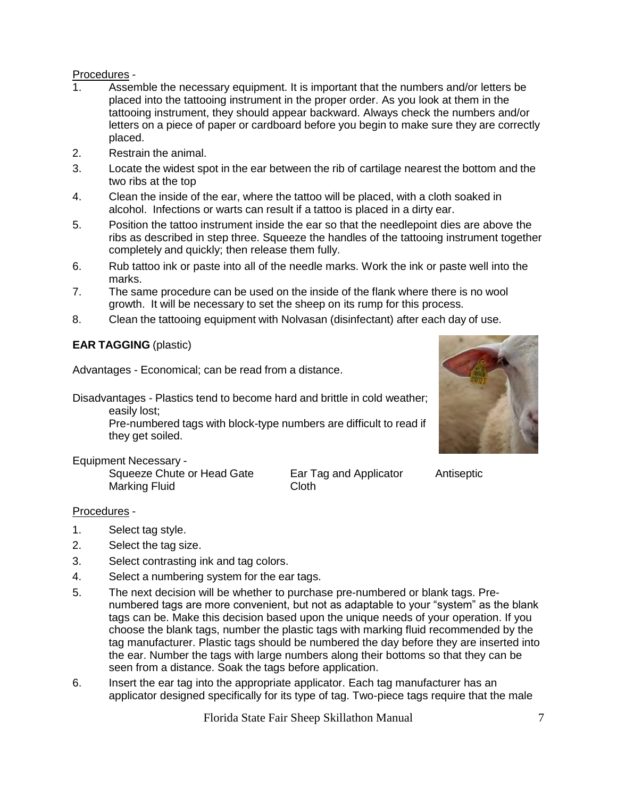#### Procedures -

- 1. Assemble the necessary equipment. It is important that the numbers and/or letters be placed into the tattooing instrument in the proper order. As you look at them in the tattooing instrument, they should appear backward. Always check the numbers and/or letters on a piece of paper or cardboard before you begin to make sure they are correctly placed.
- 2. Restrain the animal.
- 3. Locate the widest spot in the ear between the rib of cartilage nearest the bottom and the two ribs at the top
- 4. Clean the inside of the ear, where the tattoo will be placed, with a cloth soaked in alcohol. Infections or warts can result if a tattoo is placed in a dirty ear.
- 5. Position the tattoo instrument inside the ear so that the needlepoint dies are above the ribs as described in step three. Squeeze the handles of the tattooing instrument together completely and quickly; then release them fully.
- 6. Rub tattoo ink or paste into all of the needle marks. Work the ink or paste well into the marks.
- 7. The same procedure can be used on the inside of the flank where there is no wool growth. It will be necessary to set the sheep on its rump for this process.
- 8. Clean the tattooing equipment with Nolvasan (disinfectant) after each day of use.

#### **EAR TAGGING** (plastic)

Advantages - Economical; can be read from a distance.

Disadvantages - Plastics tend to become hard and brittle in cold weather; easily lost;

> Pre-numbered tags with block-type numbers are difficult to read if they get soiled.

#### Equipment Necessary -

Squeeze Chute or Head Gate Ear Tag and Applicator Antiseptic Marking Fluid Cloth

#### Procedures -

- 1. Select tag style.
- 2. Select the tag size.
- 3. Select contrasting ink and tag colors.
- 4. Select a numbering system for the ear tags.
- 5. The next decision will be whether to purchase pre-numbered or blank tags. Prenumbered tags are more convenient, but not as adaptable to your "system" as the blank tags can be. Make this decision based upon the unique needs of your operation. If you choose the blank tags, number the plastic tags with marking fluid recommended by the tag manufacturer. Plastic tags should be numbered the day before they are inserted into the ear. Number the tags with large numbers along their bottoms so that they can be seen from a distance. Soak the tags before application.
- 6. Insert the ear tag into the appropriate applicator. Each tag manufacturer has an applicator designed specifically for its type of tag. Two-piece tags require that the male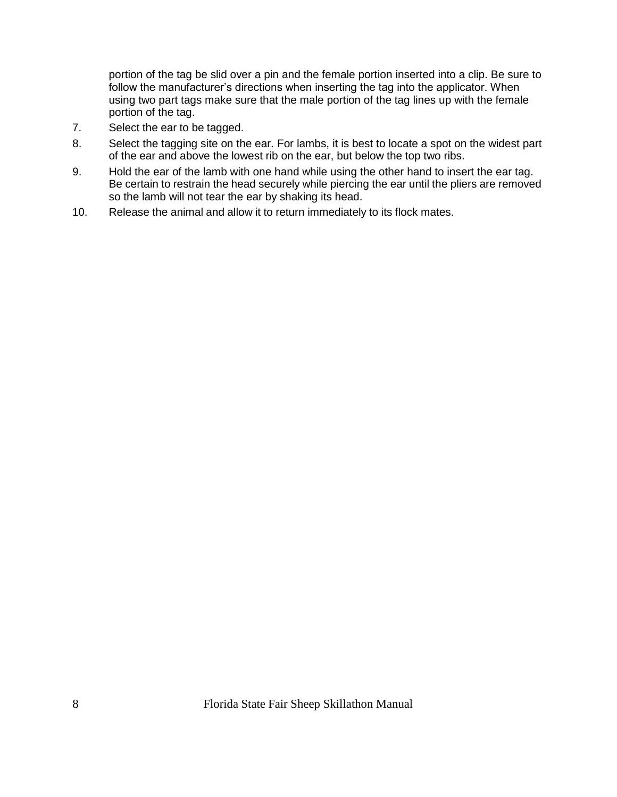portion of the tag be slid over a pin and the female portion inserted into a clip. Be sure to follow the manufacturer's directions when inserting the tag into the applicator. When using two part tags make sure that the male portion of the tag lines up with the female portion of the tag.

- 7. Select the ear to be tagged.
- 8. Select the tagging site on the ear. For lambs, it is best to locate a spot on the widest part of the ear and above the lowest rib on the ear, but below the top two ribs.
- 9. Hold the ear of the lamb with one hand while using the other hand to insert the ear tag. Be certain to restrain the head securely while piercing the ear until the pliers are removed so the lamb will not tear the ear by shaking its head.
- 10. Release the animal and allow it to return immediately to its flock mates.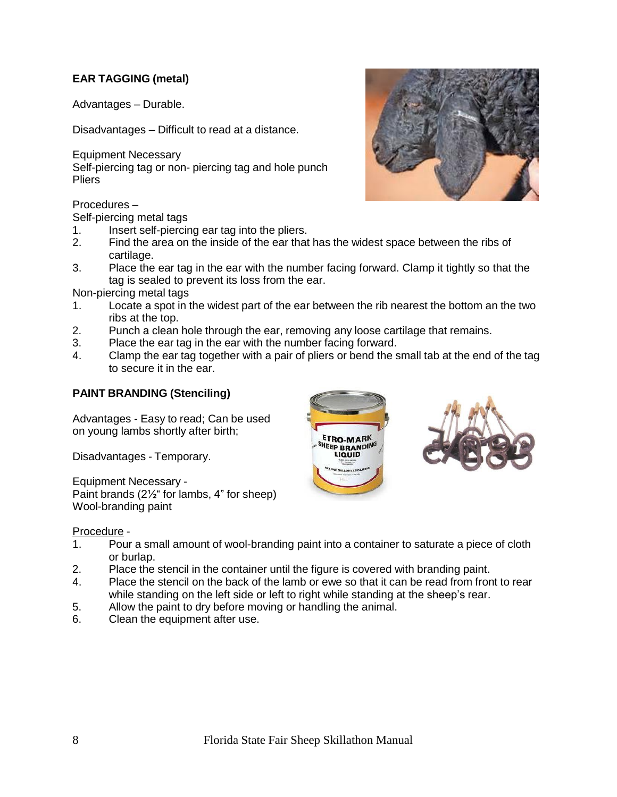#### **EAR TAGGING (metal)**

Advantages – Durable.

Disadvantages – Difficult to read at a distance.

Equipment Necessary Self-piercing tag or non- piercing tag and hole punch **Pliers** 

Procedures –

Self-piercing metal tags

- 1. Insert self-piercing ear tag into the pliers.
- 2. Find the area on the inside of the ear that has the widest space between the ribs of cartilage.
- 3. Place the ear tag in the ear with the number facing forward. Clamp it tightly so that the tag is sealed to prevent its loss from the ear.

Non-piercing metal tags

- 1. Locate a spot in the widest part of the ear between the rib nearest the bottom an the two ribs at the top.
- 2. Punch a clean hole through the ear, removing any loose cartilage that remains.
- 3. Place the ear tag in the ear with the number facing forward.
- 4. Clamp the ear tag together with a pair of pliers or bend the small tab at the end of the tag to secure it in the ear.

#### **PAINT BRANDING (Stenciling)**

Advantages - Easy to read; Can be used on young lambs shortly after birth;

Disadvantages - Temporary.

Equipment Necessary - Paint brands (2½" for lambs, 4" for sheep) Wool-branding paint



#### Procedure -

- 1. Pour a small amount of wool-branding paint into a container to saturate a piece of cloth or burlap.
- 2. Place the stencil in the container until the figure is covered with branding paint.
- 4. Place the stencil on the back of the lamb or ewe so that it can be read from front to rear while standing on the left side or left to right while standing at the sheep's rear.
- 5. Allow the paint to dry before moving or handling the animal.
- 6. Clean the equipment after use.

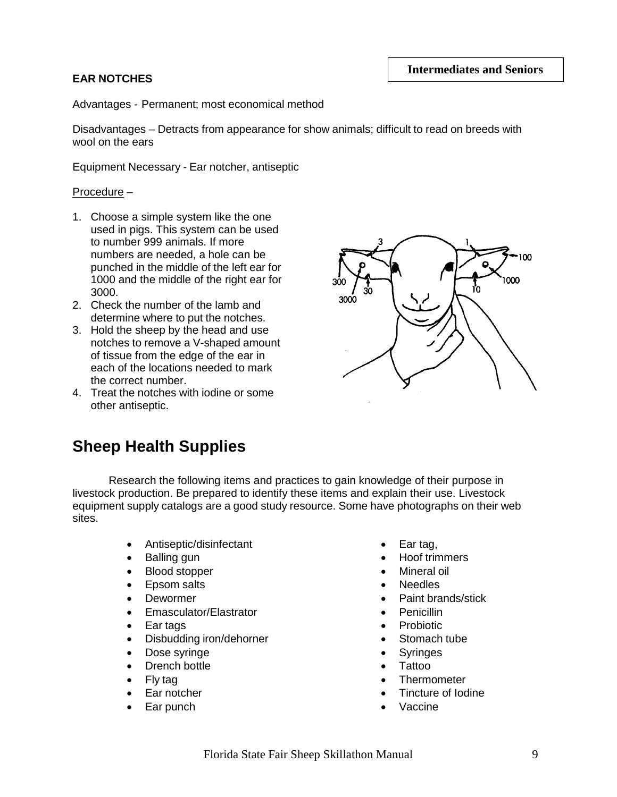#### **EAR NOTCHES**

Advantages - Permanent; most economical method

Disadvantages – Detracts from appearance for show animals; difficult to read on breeds with wool on the ears

Equipment Necessary - Ear notcher, antiseptic

#### Procedure –

- 1. Choose a simple system like the one used in pigs. This system can be used to number 999 animals. If more numbers are needed, a hole can be punched in the middle of the left ear for 1000 and the middle of the right ear for 3000.
- 2. Check the number of the lamb and determine where to put the notches.
- 3. Hold the sheep by the head and use notches to remove a V-shaped amount of tissue from the edge of the ear in each of the locations needed to mark the correct number.
- 4. Treat the notches with iodine or some other antiseptic.



### **Sheep Health Supplies**

Research the following items and practices to gain knowledge of their purpose in livestock production. Be prepared to identify these items and explain their use. Livestock equipment supply catalogs are a good study resource. Some have photographs on their web sites.

- Antiseptic/disinfectant
- Balling gun
- Blood stopper
- Epsom salts
- Dewormer
- Emasculator/Elastrator
- Ear tags
- Disbudding iron/dehorner
- Dose syringe
- Drench bottle
- Fly tag
- Ear notcher
- Ear punch
- Ear tag,
- Hoof trimmers
- Mineral oil
- Needles
- Paint brands/stick
- Penicillin
- Probiotic
- Stomach tube
- Syringes
- Tattoo
- **Thermometer**
- Tincture of Iodine
- Vaccine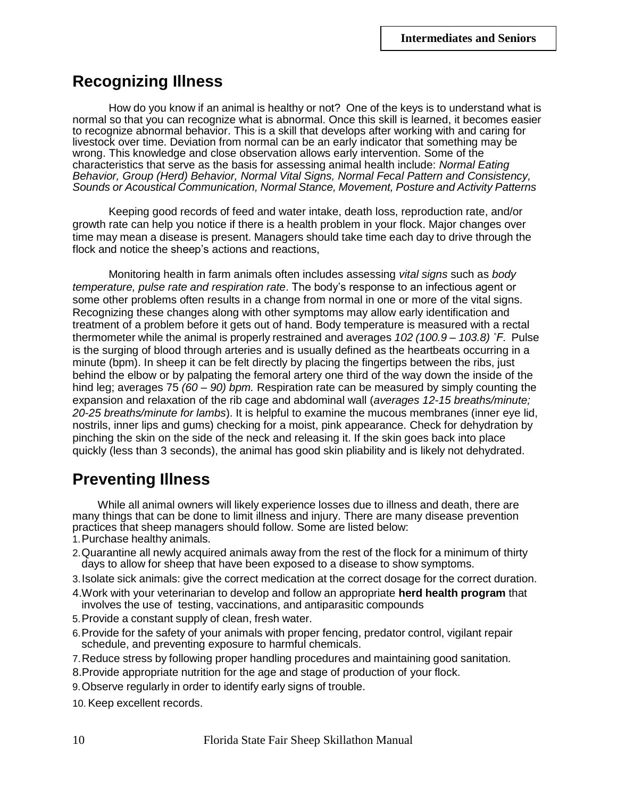### **Recognizing Illness**

How do you know if an animal is healthy or not? One of the keys is to understand what is normal so that you can recognize what is abnormal. Once this skill is learned, it becomes easier to recognize abnormal behavior. This is a skill that develops after working with and caring for livestock over time. Deviation from normal can be an early indicator that something may be wrong. This knowledge and close observation allows early intervention. Some of the characteristics that serve as the basis for assessing animal health include: *Normal Eating Behavior, Group (Herd) Behavior, Normal Vital Signs, Normal Fecal Pattern and Consistency, Sounds or Acoustical Communication, Normal Stance, Movement, Posture and Activity Patterns*

Keeping good records of feed and water intake, death loss, reproduction rate, and/or growth rate can help you notice if there is a health problem in your flock. Major changes over time may mean a disease is present. Managers should take time each day to drive through the flock and notice the sheep's actions and reactions,

Monitoring health in farm animals often includes assessing *vital signs* such as *body temperature, pulse rate and respiration rate*. The body's response to an infectious agent or some other problems often results in a change from normal in one or more of the vital signs. Recognizing these changes along with other symptoms may allow early identification and treatment of a problem before it gets out of hand. Body temperature is measured with a rectal thermometer while the animal is properly restrained and averages *102 (100.9 – 103.8) ˚F.* Pulse is the surging of blood through arteries and is usually defined as the heartbeats occurring in a minute (bpm). In sheep it can be felt directly by placing the fingertips between the ribs, just behind the elbow or by palpating the femoral artery one third of the way down the inside of the hind leg; averages 75 *(60 – 90) bpm.* Respiration rate can be measured by simply counting the expansion and relaxation of the rib cage and abdominal wall (*averages 12-15 breaths/minute; 20-25 breaths/minute for lambs*). It is helpful to examine the mucous membranes (inner eye lid, nostrils, inner lips and gums) checking for a moist, pink appearance. Check for dehydration by pinching the skin on the side of the neck and releasing it. If the skin goes back into place quickly (less than 3 seconds), the animal has good skin pliability and is likely not dehydrated.

### **Preventing Illness**

While all animal owners will likely experience losses due to illness and death, there are many things that can be done to limit illness and injury. There are many disease prevention practices that sheep managers should follow. Some are listed below:

- 1.Purchase healthy animals.
- 2.Quarantine all newly acquired animals away from the rest of the flock for a minimum of thirty days to allow for sheep that have been exposed to a disease to show symptoms.
- 3.Isolate sick animals: give the correct medication at the correct dosage for the correct duration.
- 4.Work with your veterinarian to develop and follow an appropriate **herd health program** that involves the use of testing, vaccinations, and antiparasitic compounds
- 5.Provide a constant supply of clean, fresh water.
- 6.Provide for the safety of your animals with proper fencing, predator control, vigilant repair schedule, and preventing exposure to harmful chemicals.
- 7.Reduce stress by following proper handling procedures and maintaining good sanitation.
- 8.Provide appropriate nutrition for the age and stage of production of your flock.
- 9.Observe regularly in order to identify early signs of trouble.
- 10. Keep excellent records.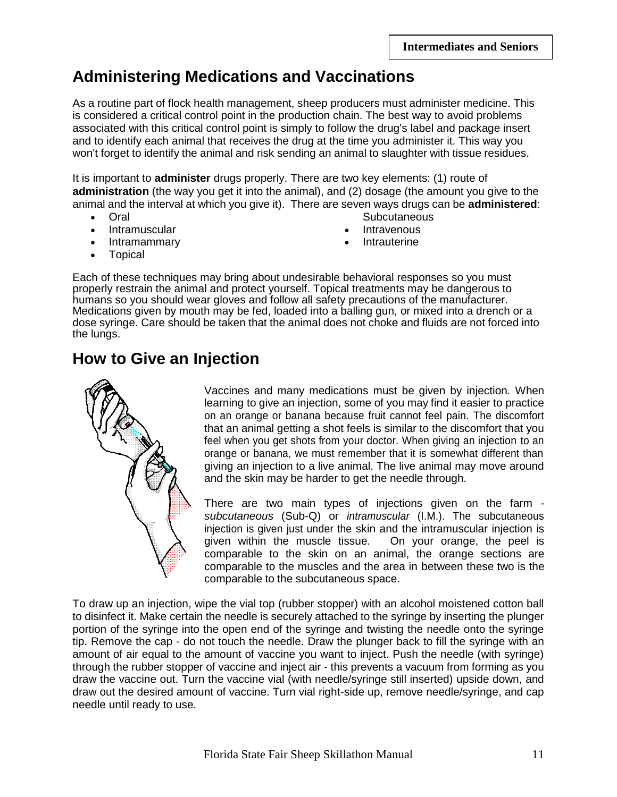# **Administering Medications and Vaccinations**

As a routine part of flock health management, sheep producers must administer medicine. This is considered a critical control point in the production chain. The best way to avoid problems associated with this critical control point is simply to follow the drug's label and package insert and to identify each animal that receives the drug at the time you administer it. This way you won't forget to identify the animal and risk sending an animal to slaughter with tissue residues.

It is important to **administer** drugs properly. There are two key elements: (1) route of **administration** (the way you get it into the animal), and (2) dosage (the amount you give to the animal and the interval at which you give it). There are seven ways drugs can be **administered**: **Subcutaneous** 

- Oral
- Intramuscular
- Intramammary
- Intravenous
- Intrauterine

Topical

Each of these techniques may bring about undesirable behavioral responses so you must properly restrain the animal and protect yourself. Topical treatments may be dangerous to humans so you should wear gloves and follow all safety precautions of the manufacturer. Medications given by mouth may be fed, loaded into a balling gun, or mixed into a drench or a dose syringe. Care should be taken that the animal does not choke and fluids are not forced into the lungs.

# **How to Give an Injection**



Vaccines and many medications must be given by injection. When learning to give an injection, some of you may find it easier to practice on an orange or banana because fruit cannot feel pain. The discomfort that an animal getting a shot feels is similar to the discomfort that you feel when you get shots from your doctor. When giving an injection to an orange or banana, we must remember that it is somewhat different than giving an injection to a live animal. The live animal may move around and the skin may be harder to get the needle through.

There are two main types of injections given on the farm *subcutaneous* (Sub-Q) or *intramuscular* (I.M.). The subcutaneous injection is given just under the skin and the intramuscular injection is given within the muscle tissue. On your orange, the peel is comparable to the skin on an animal, the orange sections are comparable to the muscles and the area in between these two is the comparable to the subcutaneous space.

To draw up an injection, wipe the vial top (rubber stopper) with an alcohol moistened cotton ball to disinfect it. Make certain the needle is securely attached to the syringe by inserting the plunger portion of the syringe into the open end of the syringe and twisting the needle onto the syringe tip. Remove the cap - do not touch the needle. Draw the plunger back to fill the syringe with an amount of air equal to the amount of vaccine you want to inject. Push the needle (with syringe) through the rubber stopper of vaccine and inject air - this prevents a vacuum from forming as you draw the vaccine out. Turn the vaccine vial (with needle/syringe still inserted) upside down, and draw out the desired amount of vaccine. Turn vial right-side up, remove needle/syringe, and cap needle until ready to use.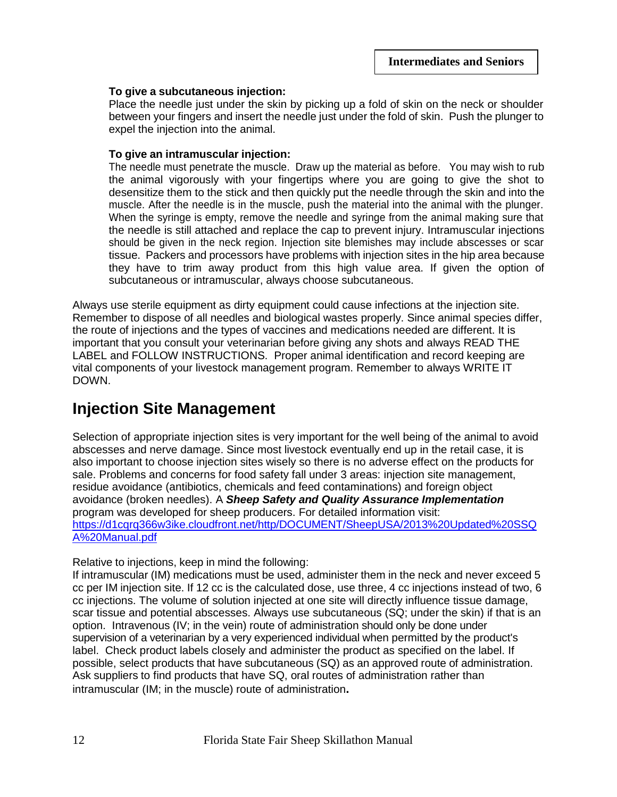#### **To give a subcutaneous injection:**

Place the needle just under the skin by picking up a fold of skin on the neck or shoulder between your fingers and insert the needle just under the fold of skin. Push the plunger to expel the injection into the animal.

#### **To give an intramuscular injection:**

The needle must penetrate the muscle. Draw up the material as before. You may wish to rub the animal vigorously with your fingertips where you are going to give the shot to desensitize them to the stick and then quickly put the needle through the skin and into the muscle. After the needle is in the muscle, push the material into the animal with the plunger. When the syringe is empty, remove the needle and syringe from the animal making sure that the needle is still attached and replace the cap to prevent injury. Intramuscular injections should be given in the neck region. Injection site blemishes may include abscesses or scar tissue. Packers and processors have problems with injection sites in the hip area because they have to trim away product from this high value area. If given the option of subcutaneous or intramuscular, always choose subcutaneous.

Always use sterile equipment as dirty equipment could cause infections at the injection site. Remember to dispose of all needles and biological wastes properly. Since animal species differ, the route of injections and the types of vaccines and medications needed are different. It is important that you consult your veterinarian before giving any shots and always READ THE LABEL and FOLLOW INSTRUCTIONS. Proper animal identification and record keeping are vital components of your livestock management program. Remember to always WRITE IT DOWN.

### **Injection Site Management**

Selection of appropriate injection sites is very important for the well being of the animal to avoid abscesses and nerve damage. Since most livestock eventually end up in the retail case, it is also important to choose injection sites wisely so there is no adverse effect on the products for sale. Problems and concerns for food safety fall under 3 areas: injection site management, residue avoidance (antibiotics, chemicals and feed contaminations) and foreign object avoidance (broken needles). A *Sheep Safety and Quality Assurance Implementation* program was developed for sheep producers. For detailed information visit: [https://d1cqrq366w3ike.cloudfront.net/http/DOCUMENT/SheepUSA/2013%20Updated%20SSQ](https://d1cqrq366w3ike.cloudfront.net/http/DOCUMENT/SheepUSA/2013%20Updated%20SSQA%20Manual.pdf) [A%20Manual.pdf](https://d1cqrq366w3ike.cloudfront.net/http/DOCUMENT/SheepUSA/2013%20Updated%20SSQA%20Manual.pdf)

Relative to injections, keep in mind the following:

If intramuscular (IM) medications must be used, administer them in the neck and never exceed 5 cc per IM injection site. If 12 cc is the calculated dose, use three, 4 cc injections instead of two, 6 cc injections. The volume of solution injected at one site will directly influence tissue damage, scar tissue and potential abscesses. Always use subcutaneous (SQ; under the skin) if that is an option. Intravenous (IV; in the vein) route of administration should only be done under supervision of a veterinarian by a very experienced individual when permitted by the product's label. Check product labels closely and administer the product as specified on the label. If possible, select products that have subcutaneous (SQ) as an approved route of administration. Ask suppliers to find products that have SQ, oral routes of administration rather than intramuscular (IM; in the muscle) route of administration**.**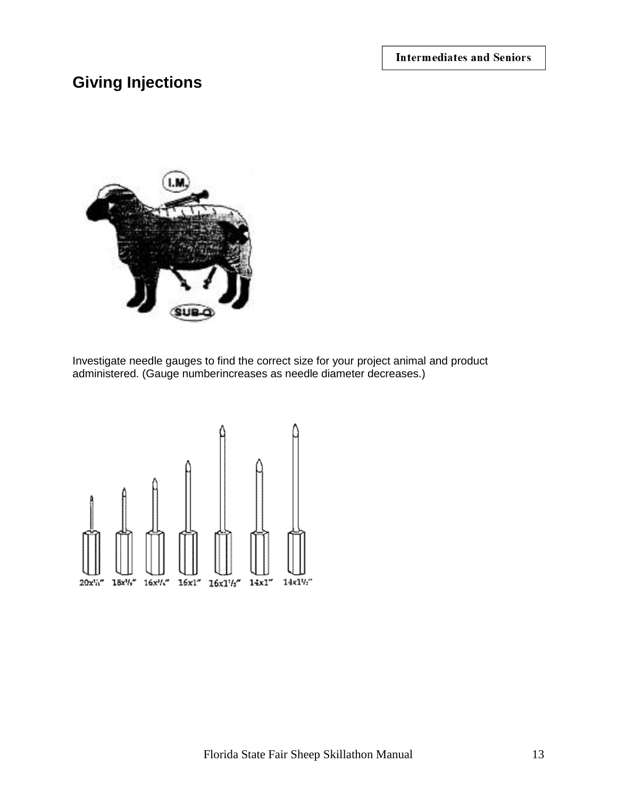**Intermediates and Seniors** 

# **Giving Injections**



Investigate needle gauges to find the correct size for your project animal and product administered. (Gauge numberincreases as needle diameter decreases.)

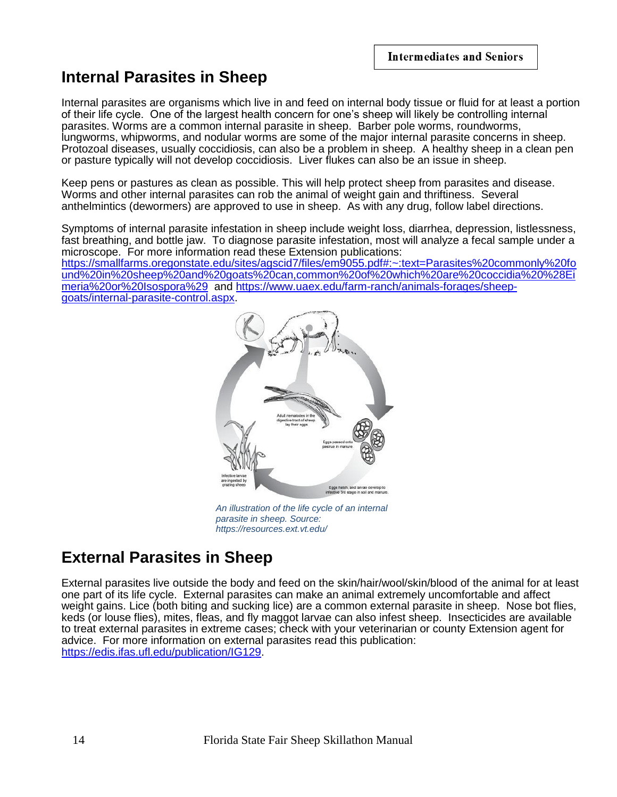# **Internal Parasites in Sheep**

Internal parasites are organisms which live in and feed on internal body tissue or fluid for at least a portion of their life cycle. One of the largest health concern for one's sheep will likely be controlling internal parasites. Worms are a common internal parasite in sheep. Barber pole worms, roundworms, lungworms, whipworms, and nodular worms are some of the major internal parasite concerns in sheep. Protozoal diseases, usually coccidiosis, can also be a problem in sheep. A healthy sheep in a clean pen or pasture typically will not develop coccidiosis. Liver flukes can also be an issue in sheep.

Keep pens or pastures as clean as possible. This will help protect sheep from parasites and disease. Worms and other internal parasites can rob the animal of weight gain and thriftiness. Several anthelmintics (dewormers) are approved to use in sheep. As with any drug, follow label directions.

Symptoms of internal parasite infestation in sheep include weight loss, diarrhea, depression, listlessness, fast breathing, and bottle jaw. To diagnose parasite infestation, most will analyze a fecal sample under a microscope. For more information read these Extension publications: [https://smallfarms.oregonstate.edu/sites/agscid7/files/em9055.pdf#:~:text=Parasites%20commonly%20fo](https://smallfarms.oregonstate.edu/sites/agscid7/files/em9055.pdf#:~:text=Parasites%20commonly%20found%20in%20sheep%20and%20goats%20can,common%20of%20which%20are%20coccidia%20%28Eimeria%20or%20Isospora%29) [und%20in%20sheep%20and%20goats%20can,common%20of%20which%20are%20coccidia%20%28Ei](https://smallfarms.oregonstate.edu/sites/agscid7/files/em9055.pdf#:~:text=Parasites%20commonly%20found%20in%20sheep%20and%20goats%20can,common%20of%20which%20are%20coccidia%20%28Eimeria%20or%20Isospora%29) [meria%20or%20Isospora%29](https://smallfarms.oregonstate.edu/sites/agscid7/files/em9055.pdf#:~:text=Parasites%20commonly%20found%20in%20sheep%20and%20goats%20can,common%20of%20which%20are%20coccidia%20%28Eimeria%20or%20Isospora%29) and [https://www.uaex.edu/farm-ranch/animals-forages/sheep](https://www.uaex.edu/farm-ranch/animals-forages/sheep-goats/internal-parasite-control.aspx)[goats/internal-parasite-control.aspx.](https://www.uaex.edu/farm-ranch/animals-forages/sheep-goats/internal-parasite-control.aspx)



*An illustration of the life cycle of an internal parasite in sheep. Source: https://resources.ext.vt.edu/*

# **External Parasites in Sheep**

External parasites live outside the body and feed on the skin/hair/wool/skin/blood of the animal for at least one part of its life cycle. External parasites can make an animal extremely uncomfortable and affect weight gains. Lice (both biting and sucking lice) are a common external parasite in sheep. Nose bot flies, keds (or louse flies), mites, fleas, and fly maggot larvae can also infest sheep. Insecticides are available to treat external parasites in extreme cases; check with your veterinarian or county Extension agent for advice. For more information on external parasites read this publication: [https://edis.ifas.ufl.edu/publication/IG129.](https://edis.ifas.ufl.edu/publication/IG129)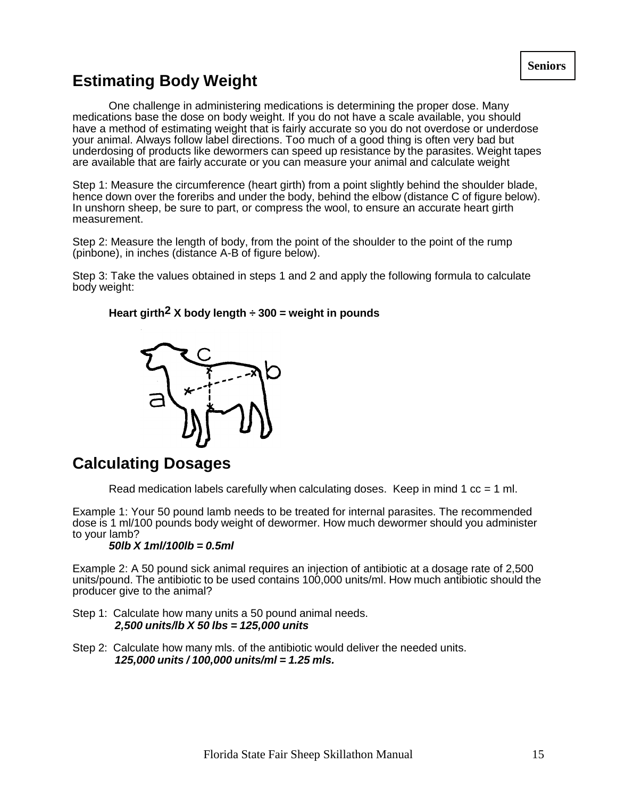# **Estimating Body Weight**

One challenge in administering medications is determining the proper dose. Many medications base the dose on body weight. If you do not have a scale available, you should have a method of estimating weight that is fairly accurate so you do not overdose or underdose your animal. Always follow label directions. Too much of a good thing is often very bad but underdosing of products like dewormers can speed up resistance by the parasites. Weight tapes are available that are fairly accurate or you can measure your animal and calculate weight

Step 1: Measure the circumference (heart girth) from a point slightly behind the shoulder blade, hence down over the foreribs and under the body, behind the elbow (distance C of figure below). In unshorn sheep, be sure to part, or compress the wool, to ensure an accurate heart girth measurement.

Step 2: Measure the length of body, from the point of the shoulder to the point of the rump (pinbone), in inches (distance A-B of figure below).

Step 3: Take the values obtained in steps 1 and 2 and apply the following formula to calculate body weight:

#### **Heart girth2 X body length ÷ 300 = weight in pounds**



### **Calculating Dosages**

Read medication labels carefully when calculating doses. Keep in mind  $1 \text{ cc} = 1 \text{ ml}$ .

Example 1: Your 50 pound lamb needs to be treated for internal parasites. The recommended dose is 1 ml/100 pounds body weight of dewormer. How much dewormer should you administer to your lamb?

#### *50lb X 1ml/100lb = 0.5ml*

Example 2: A 50 pound sick animal requires an injection of antibiotic at a dosage rate of 2,500 units/pound. The antibiotic to be used contains 100,000 units/ml. How much antibiotic should the producer give to the animal?

- Step 1: Calculate how many units a 50 pound animal needs. *2,500 units/lb X 50 lbs = 125,000 units*
- Step 2: Calculate how many mls. of the antibiotic would deliver the needed units. *125,000 units / 100,000 units/ml = 1.25 mls.*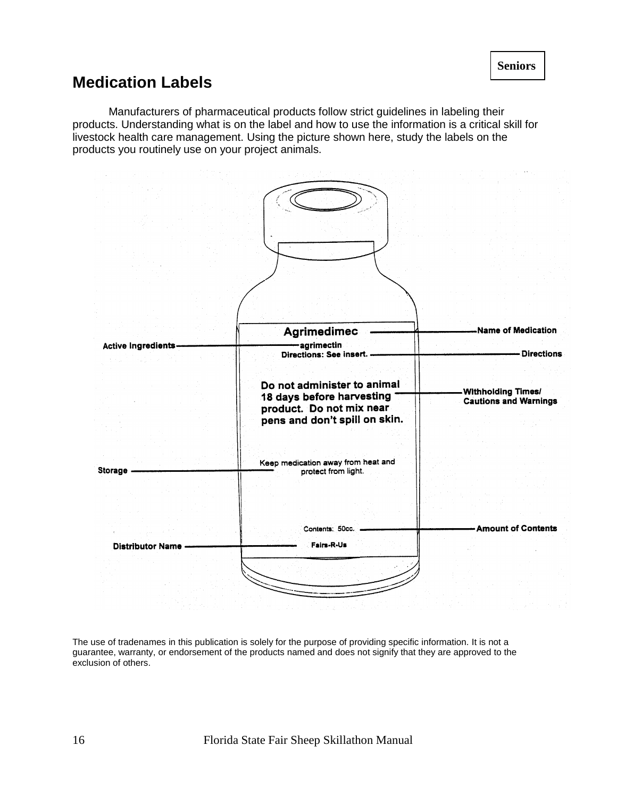### **Medication Labels**

Manufacturers of pharmaceutical products follow strict guidelines in labeling their products. Understanding what is on the label and how to use the information is a critical skill for livestock health care management. Using the picture shown here, study the labels on the products you routinely use on your project animals.



The use of tradenames in this publication is solely for the purpose of providing specific information. It is not a guarantee, warranty, or endorsement of the products named and does not signify that they are approved to the exclusion of others.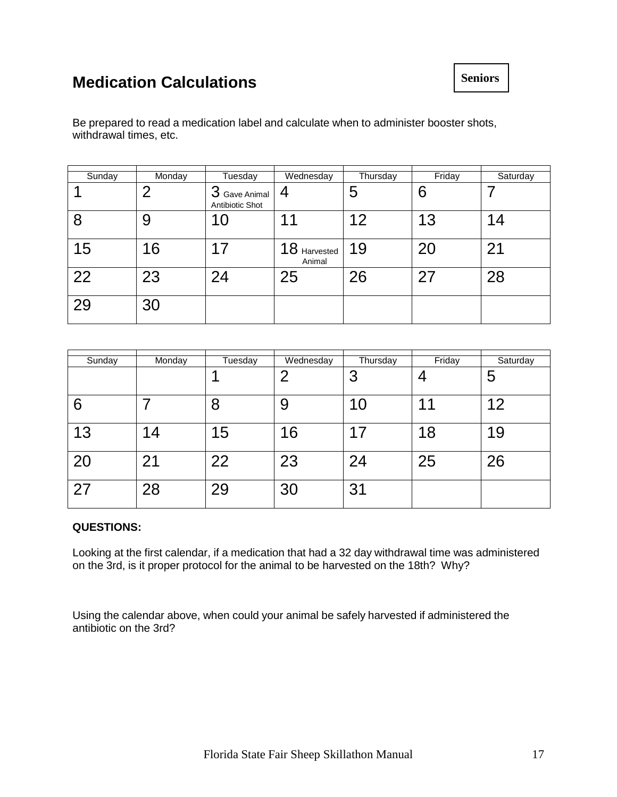# **Medication Calculations**

Be prepared to read a medication label and calculate when to administer booster shots, withdrawal times, etc.

| Sunday | Monday | Tuesday                                  | Wednesday              | Thursday | Friday | Saturday |
|--------|--------|------------------------------------------|------------------------|----------|--------|----------|
|        | 2      | ◠<br>Gave Animal<br>C<br>Antibiotic Shot | 4                      | 5        | 6      |          |
| 8      | 9      | 10                                       | 11                     | 12       | 13     | 14       |
| 15     | 16     | 17                                       | 18 Harvested<br>Animal | 19       | 20     | 21       |
| 22     | 23     | 24                                       | 25                     | 26       | 27     | 28       |
| 29     | 30     |                                          |                        |          |        |          |

| Sunday | Monday | Tuesday | Wednesday | Thursday | Friday | Saturday |
|--------|--------|---------|-----------|----------|--------|----------|
|        |        |         | ႒         | 3        |        | 5        |
| 6      |        | 8       | 9         | 10       | ◢      | 12       |
| 13     | 14     | 15      | 16        | 17       | 18     | 19       |
| 20     | 21     | 22      | 23        | 24       | 25     | 26       |
| 27     | 28     | 29      | 30        | 31       |        |          |

#### **QUESTIONS:**

Looking at the first calendar, if a medication that had a 32 day withdrawal time was administered on the 3rd, is it proper protocol for the animal to be harvested on the 18th? Why?

Using the calendar above, when could your animal be safely harvested if administered the antibiotic on the 3rd?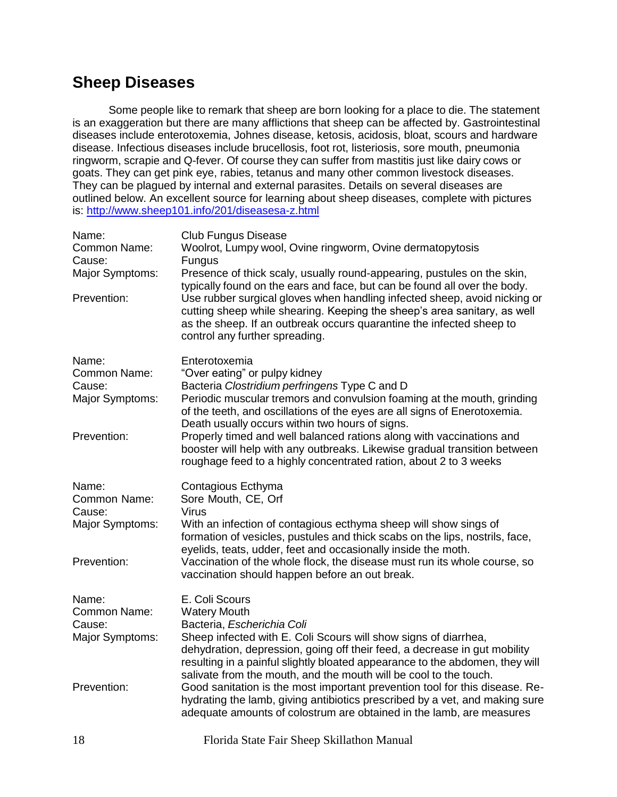# **Sheep Diseases**

Some people like to remark that sheep are born looking for a place to die. The statement is an exaggeration but there are many afflictions that sheep can be affected by. Gastrointestinal diseases include enterotoxemia, Johnes disease, ketosis, acidosis, bloat, scours and hardware disease. Infectious diseases include brucellosis, foot rot, listeriosis, sore mouth, pneumonia ringworm, scrapie and Q-fever. Of course they can suffer from mastitis just like dairy cows or goats. They can get pink eye, rabies, tetanus and many other common livestock diseases. They can be plagued by internal and external parasites. Details on several diseases are outlined below. An excellent source for learning about sheep diseases, complete with pictures is: <http://www.sheep101.info/201/diseasesa-z.html>

| Name:<br>Common Name:<br>Cause:<br>Major Symptoms:<br>Prevention: | <b>Club Fungus Disease</b><br>Woolrot, Lumpy wool, Ovine ringworm, Ovine dermatopytosis<br><b>Fungus</b><br>Presence of thick scaly, usually round-appearing, pustules on the skin,<br>typically found on the ears and face, but can be found all over the body.<br>Use rubber surgical gloves when handling infected sheep, avoid nicking or<br>cutting sheep while shearing. Keeping the sheep's area sanitary, as well<br>as the sheep. If an outbreak occurs quarantine the infected sheep to<br>control any further spreading.                                                                            |
|-------------------------------------------------------------------|----------------------------------------------------------------------------------------------------------------------------------------------------------------------------------------------------------------------------------------------------------------------------------------------------------------------------------------------------------------------------------------------------------------------------------------------------------------------------------------------------------------------------------------------------------------------------------------------------------------|
| Name:<br>Common Name:<br>Cause:<br>Major Symptoms:<br>Prevention: | Enterotoxemia<br>"Over eating" or pulpy kidney<br>Bacteria Clostridium perfringens Type C and D<br>Periodic muscular tremors and convulsion foaming at the mouth, grinding<br>of the teeth, and oscillations of the eyes are all signs of Enerotoxemia.<br>Death usually occurs within two hours of signs.<br>Properly timed and well balanced rations along with vaccinations and<br>booster will help with any outbreaks. Likewise gradual transition between<br>roughage feed to a highly concentrated ration, about 2 to 3 weeks                                                                           |
| Name:<br>Common Name:<br>Cause:<br>Major Symptoms:<br>Prevention: | Contagious Ecthyma<br>Sore Mouth, CE, Orf<br><b>Virus</b><br>With an infection of contagious ecthyma sheep will show sings of<br>formation of vesicles, pustules and thick scabs on the lips, nostrils, face,<br>eyelids, teats, udder, feet and occasionally inside the moth.<br>Vaccination of the whole flock, the disease must run its whole course, so<br>vaccination should happen before an out break.                                                                                                                                                                                                  |
| Name:<br>Common Name:<br>Cause:<br>Major Symptoms:<br>Prevention: | E. Coli Scours<br><b>Watery Mouth</b><br>Bacteria, Escherichia Coli<br>Sheep infected with E. Coli Scours will show signs of diarrhea,<br>dehydration, depression, going off their feed, a decrease in gut mobility<br>resulting in a painful slightly bloated appearance to the abdomen, they will<br>salivate from the mouth, and the mouth will be cool to the touch.<br>Good sanitation is the most important prevention tool for this disease. Re-<br>hydrating the lamb, giving antibiotics prescribed by a vet, and making sure<br>adequate amounts of colostrum are obtained in the lamb, are measures |